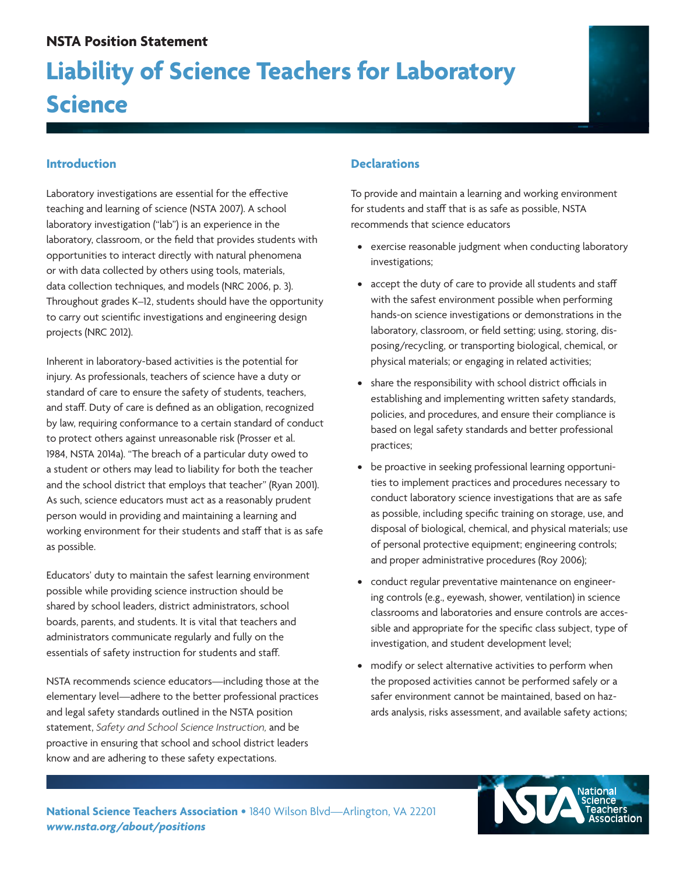## **NSTA Position Statement**

# **Liability of Science Teachers for Laboratory Science**



Laboratory investigations are essential for the effective teaching and learning of science (NSTA 2007). A school laboratory investigation ("lab") is an experience in the laboratory, classroom, or the field that provides students with opportunities to interact directly with natural phenomena or with data collected by others using tools, materials, data collection techniques, and models (NRC 2006, p. 3). Throughout grades K–12, students should have the opportunity to carry out scientific investigations and engineering design projects (NRC 2012).

Inherent in laboratory-based activities is the potential for injury. As professionals, teachers of science have a duty or standard of care to ensure the safety of students, teachers, and staff. Duty of care is defined as an obligation, recognized by law, requiring conformance to a certain standard of conduct to protect others against unreasonable risk (Prosser et al. 1984, NSTA 2014a). "The breach of a particular duty owed to a student or others may lead to liability for both the teacher and the school district that employs that teacher" (Ryan 2001). As such, science educators must act as a reasonably prudent person would in providing and maintaining a learning and working environment for their students and staff that is as safe as possible.

Educators' duty to maintain the safest learning environment possible while providing science instruction should be shared by school leaders, district administrators, school boards, parents, and students. It is vital that teachers and administrators communicate regularly and fully on the essentials of safety instruction for students and staff.

NSTA recommends science educators—including those at the elementary level—adhere to the better professional practices and legal safety standards outlined in the NSTA position statement, *Safety and School Science Instruction,* and be proactive in ensuring that school and school district leaders know and are adhering to these safety expectations.

### **Declarations**

To provide and maintain a learning and working environment for students and staff that is as safe as possible, NSTA recommends that science educators

- **•**  exercise reasonable judgment when conducting laboratory investigations;
- **•**  accept the duty of care to provide all students and staff with the safest environment possible when performing hands-on science investigations or demonstrations in the laboratory, classroom, or field setting; using, storing, disposing/recycling, or transporting biological, chemical, or physical materials; or engaging in related activities;
- **•**  share the responsibility with school district officials in establishing and implementing written safety standards, policies, and procedures, and ensure their compliance is based on legal safety standards and better professional practices;
- be proactive in seeking professional learning opportunities to implement practices and procedures necessary to conduct laboratory science investigations that are as safe as possible, including specific training on storage, use, and disposal of biological, chemical, and physical materials; use of personal protective equipment; engineering controls; and proper administrative procedures (Roy 2006);
- **•**  conduct regular preventative maintenance on engineering controls (e.g., eyewash, shower, ventilation) in science classrooms and laboratories and ensure controls are accessible and appropriate for the specific class subject, type of investigation, and student development level;
- **•**  modify or select alternative activities to perform when the proposed activities cannot be performed safely or a safer environment cannot be maintained, based on hazards analysis, risks assessment, and available safety actions;

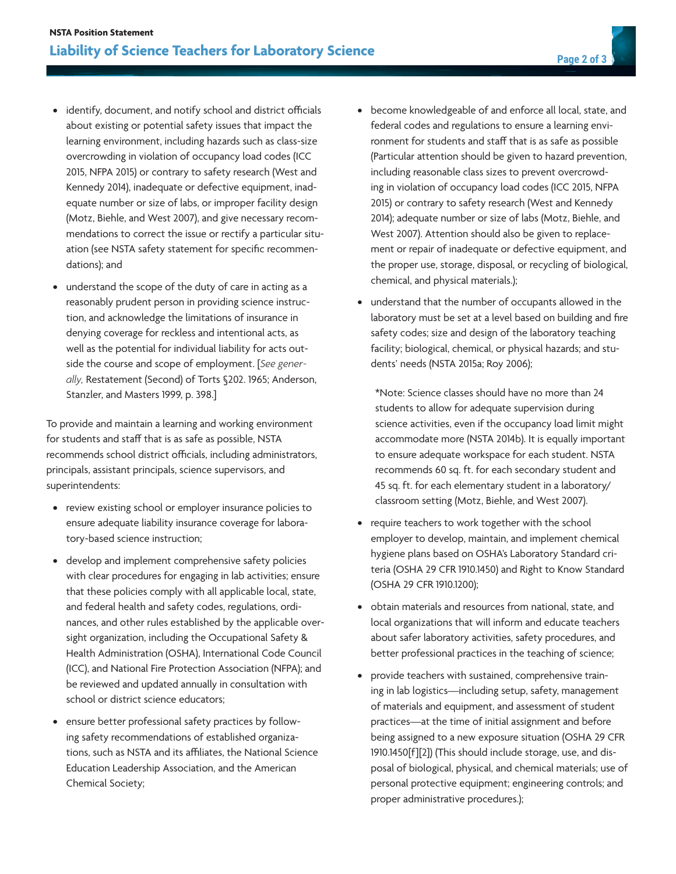- **•**  identify, document, and notify school and district officials about existing or potential safety issues that impact the learning environment, including hazards such as class-size overcrowding in violation of occupancy load codes (ICC 2015, NFPA 2015) or contrary to safety research (West and Kennedy 2014), inadequate or defective equipment, inadequate number or size of labs, or improper facility design (Motz, Biehle, and West 2007), and give necessary recommendations to correct the issue or rectify a particular situation (see NSTA safety statement for specific recommendations); and
- **•**  understand the scope of the duty of care in acting as a reasonably prudent person in providing science instruction, and acknowledge the limitations of insurance in denying coverage for reckless and intentional acts, as well as the potential for individual liability for acts outside the course and scope of employment. [*See generally,* Restatement (Second) of Torts §202. 1965; Anderson, Stanzler, and Masters 1999, p. 398.]

To provide and maintain a learning and working environment for students and staff that is as safe as possible, NSTA recommends school district officials, including administrators, principals, assistant principals, science supervisors, and superintendents:

- **•**  review existing school or employer insurance policies to ensure adequate liability insurance coverage for laboratory-based science instruction;
- **•**  develop and implement comprehensive safety policies with clear procedures for engaging in lab activities; ensure that these policies comply with all applicable local, state, and federal health and safety codes, regulations, ordinances, and other rules established by the applicable oversight organization, including the Occupational Safety & Health Administration (OSHA), International Code Council (ICC), and National Fire Protection Association (NFPA); and be reviewed and updated annually in consultation with school or district science educators;
- **•**  ensure better professional safety practices by following safety recommendations of established organizations, such as NSTA and its affiliates, the National Science Education Leadership Association, and the American Chemical Society;
- **•**  become knowledgeable of and enforce all local, state, and federal codes and regulations to ensure a learning environment for students and staff that is as safe as possible (Particular attention should be given to hazard prevention, including reasonable class sizes to prevent overcrowding in violation of occupancy load codes (ICC 2015, NFPA 2015) or contrary to safety research (West and Kennedy 2014); adequate number or size of labs (Motz, Biehle, and West 2007). Attention should also be given to replacement or repair of inadequate or defective equipment, and the proper use, storage, disposal, or recycling of biological, chemical, and physical materials.);
- understand that the number of occupants allowed in the laboratory must be set at a level based on building and fire safety codes; size and design of the laboratory teaching facility; biological, chemical, or physical hazards; and students' needs (NSTA 2015a; Roy 2006);

\*Note: Science classes should have no more than 24 students to allow for adequate supervision during science activities, even if the occupancy load limit might accommodate more (NSTA 2014b). It is equally important to ensure adequate workspace for each student. NSTA recommends 60 sq. ft. for each secondary student and 45 sq. ft. for each elementary student in a laboratory/ classroom setting (Motz, Biehle, and West 2007).

- **•**  require teachers to work together with the school employer to develop, maintain, and implement chemical hygiene plans based on OSHA's Laboratory Standard criteria (OSHA 29 CFR 1910.1450) and Right to Know Standard (OSHA 29 CFR 1910.1200);
- **•**  obtain materials and resources from national, state, and local organizations that will inform and educate teachers about safer laboratory activities, safety procedures, and better professional practices in the teaching of science;
- provide teachers with sustained, comprehensive training in lab logistics—including setup, safety, management of materials and equipment, and assessment of student practices—at the time of initial assignment and before being assigned to a new exposure situation (OSHA 29 CFR 1910.1450[f][2]) (This should include storage, use, and disposal of biological, physical, and chemical materials; use of personal protective equipment; engineering controls; and proper administrative procedures.);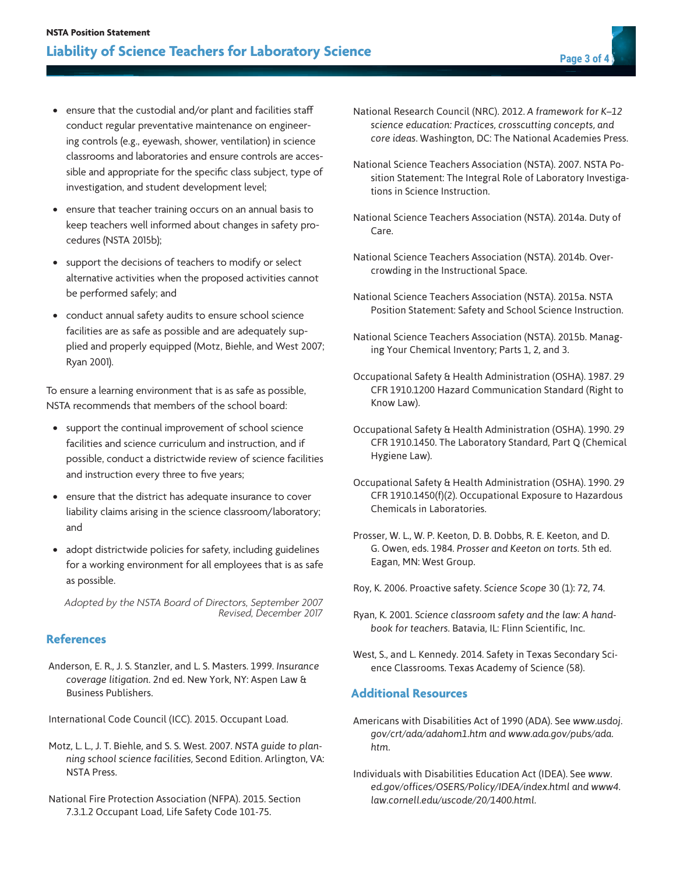- **•**  ensure that the custodial and/or plant and facilities staff conduct regular preventative maintenance on engineering controls (e.g., eyewash, shower, ventilation) in science classrooms and laboratories and ensure controls are accessible and appropriate for the specific class subject, type of investigation, and student development level;
- **•**  ensure that teacher training occurs on an annual basis to keep teachers well informed about changes in safety procedures (NSTA 2015b);
- **•**  support the decisions of teachers to modify or select alternative activities when the proposed activities cannot be performed safely; and
- **•**  conduct annual safety audits to ensure school science facilities are as safe as possible and are adequately supplied and properly equipped (Motz, Biehle, and West 2007; Ryan 2001).

To ensure a learning environment that is as safe as possible, NSTA recommends that members of the school board:

- support the continual improvement of school science facilities and science curriculum and instruction, and if possible, conduct a districtwide review of science facilities and instruction every three to five years;
- **•**  ensure that the district has adequate insurance to cover liability claims arising in the science classroom/laboratory; and
- **•**  adopt districtwide policies for safety, including guidelines for a working environment for all employees that is as safe as possible.

*Adopted by the NSTA Board of Directors, September 2007 Revised, December 2017*

#### **References**

Anderson, E. R., J. S. Stanzler, and L. S. Masters. 1999. *Insurance coverage litigation.* 2nd ed. New York, NY: Aspen Law & Business Publishers.

International Code Council (ICC). 2015. Occupant Load.

Motz, L. L., J. T. Biehle, and S. S. West. 2007. *NSTA guide to planning school science facilities,* Second Edition. Arlington, VA: NSTA Press.

National Fire Protection Association (NFPA). 2015. Section 7.3.1.2 Occupant Load, Life Safety Code 101-75.

- National Research Council (NRC). 2012. *A framework for K–12 science education: Practices, crosscutting concepts, and core ideas*. Washington, DC: The National Academies Press.
- National Science Teachers Association (NSTA). 2007. NSTA Position Statement: The Integral Role of Laboratory Investigations in Science Instruction.
- National Science Teachers Association (NSTA). 2014a. Duty of Care.
- National Science Teachers Association (NSTA). 2014b. Overcrowding in the Instructional Space.
- National Science Teachers Association (NSTA). 2015a. NSTA Position Statement: Safety and School Science Instruction.
- National Science Teachers Association (NSTA). 2015b. Managing Your Chemical Inventory; Parts 1, 2, and 3.
- Occupational Safety & Health Administration (OSHA). 1987. 29 CFR 1910.1200 Hazard Communication Standard (Right to Know Law).
- Occupational Safety & Health Administration (OSHA). 1990. 29 CFR 1910.1450. The Laboratory Standard, Part Q (Chemical Hygiene Law).
- Occupational Safety & Health Administration (OSHA). 1990. 29 CFR 1910.1450(f)(2). Occupational Exposure to Hazardous Chemicals in Laboratories.
- Prosser, W. L., W. P. Keeton, D. B. Dobbs, R. E. Keeton, and D. G. Owen, eds. 1984. *Prosser and Keeton on torts.* 5th ed. Eagan, MN: West Group.
- Roy, K. 2006. Proactive safety. *Science Scope* 30 (1): 72, 74.
- Ryan, K. 2001. *Science classroom safety and the law: A handbook for teachers.* Batavia, IL: Flinn Scientific, Inc.
- West, S., and L. Kennedy. 2014. Safety in Texas Secondary Science Classrooms. Texas Academy of Science (58).

#### **Additional Resources**

- Americans with Disabilities Act of 1990 (ADA). See *www.usdoj. gov/crt/ada/adahom1.htm and www.ada.gov/pubs/ada. htm.*
- Individuals with Disabilities Education Act (IDEA). See *www. ed.gov/offices/OSERS/Policy/IDEA/index.html and www4. law.cornell.edu/uscode/20/1400.html.*